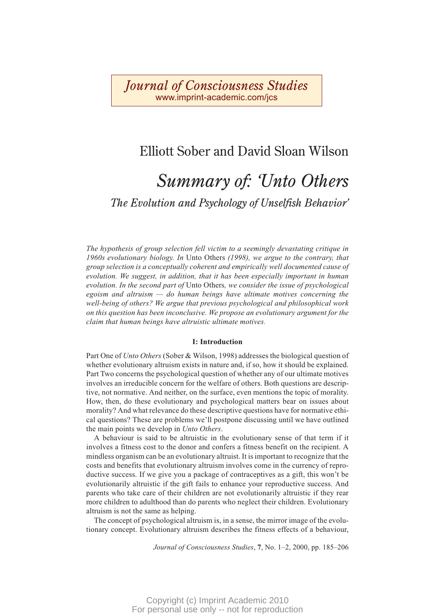*Journal of Consciousness Studies* www.imprint-academic.com/jcs

## Elliott Sober and David Sloan Wilson

# *Summary of: 'Unto Others*

### *The Evolution and Psychology of Unselfish Behavior'*

*The hypothesis of group selection fell victim to a seemingly devastating critique in 1960s evolutionary biology. In* Unto Others *(1998), we argue to the contrary, that group selection is a conceptually coherent and empirically well documented cause of evolution. We suggest, in addition, that it has been especially important in human evolution. In the second part of* Unto Others*, we consider the issue of psychological egoism and altruism — do human beings have ultimate motives concerning the well-being of others? We argue that previous psychological and philosophical work on this question has been inconclusive. We propose an evolutionary argument for the claim that human beings have altruistic ultimate motives.*

#### **I: Introduction**

Part One of *Unto Others* (Sober & Wilson, 1998) addresses the biological question of whether evolutionary altruism exists in nature and, if so, how it should be explained. Part Two concerns the psychological question of whether any of our ultimate motives involves an irreducible concern for the welfare of others. Both questions are descriptive, not normative. And neither, on the surface, even mentions the topic of morality. How, then, do these evolutionary and psychological matters bear on issues about morality? And what relevance do these descriptive questions have for normative ethical questions? These are problems we'll postpone discussing until we have outlined the main points we develop in *Unto Others*.

A behaviour is said to be altruistic in the evolutionary sense of that term if it involves a fitness cost to the donor and confers a fitness benefit on the recipient. A mindless organism can be an evolutionary altruist. It is important to recognize that the costs and benefits that evolutionary altruism involves come in the currency of reproductive success. If we give you a package of contraceptives as a gift, this won't be evolutionarily altruistic if the gift fails to enhance your reproductive success. And parents who take care of their children are not evolutionarily altruistic if they rear more children to adulthood than do parents who neglect their children. Evolutionary altruism is not the same as helping.

The concept of psychological altruism is, in a sense, the mirror image of the evolutionary concept. Evolutionary altruism describes the fitness effects of a behaviour,

*Journal of Consciousness Studies*, **7**, No. 1–2, 2000, pp. 185–206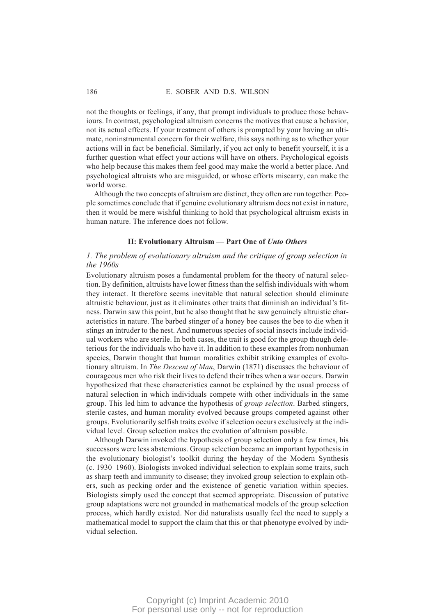not the thoughts or feelings, if any, that prompt individuals to produce those behaviours. In contrast, psychological altruism concerns the motives that cause a behavior, not its actual effects. If your treatment of others is prompted by your having an ultimate, noninstrumental concern for their welfare, this says nothing as to whether your actions will in fact be beneficial. Similarly, if you act only to benefit yourself, it is a further question what effect your actions will have on others. Psychological egoists who help because this makes them feel good may make the world a better place. And psychological altruists who are misguided, or whose efforts miscarry, can make the world worse.

Although the two concepts of altruism are distinct, they often are run together. People sometimes conclude that if genuine evolutionary altruism does not exist in nature, then it would be mere wishful thinking to hold that psychological altruism exists in human nature. The inference does not follow.

#### **II: Evolutionary Altruism — Part One of** *Unto Others*

#### *1. The problem of evolutionary altruism and the critique of group selection in the 1960s*

Evolutionary altruism poses a fundamental problem for the theory of natural selection. By definition, altruists have lower fitness than the selfish individuals with whom they interact. It therefore seems inevitable that natural selection should eliminate altruistic behaviour, just as it eliminates other traits that diminish an individual's fitness. Darwin saw this point, but he also thought that he saw genuinely altruistic characteristics in nature. The barbed stinger of a honey bee causes the bee to die when it stings an intruder to the nest. And numerous species of social insects include individual workers who are sterile. In both cases, the trait is good for the group though deleterious for the individuals who have it. In addition to these examples from nonhuman species, Darwin thought that human moralities exhibit striking examples of evolutionary altruism. In *The Descent of Man*, Darwin (1871) discusses the behaviour of courageous men who risk their lives to defend their tribes when a war occurs. Darwin hypothesized that these characteristics cannot be explained by the usual process of natural selection in which individuals compete with other individuals in the same group. This led him to advance the hypothesis of *group selection*. Barbed stingers, sterile castes, and human morality evolved because groups competed against other groups. Evolutionarily selfish traits evolve if selection occurs exclusively at the individual level. Group selection makes the evolution of altruism possible.

Although Darwin invoked the hypothesis of group selection only a few times, his successors were less abstemious. Group selection became an important hypothesis in the evolutionary biologist's toolkit during the heyday of the Modern Synthesis (c. 1930–1960). Biologists invoked individual selection to explain some traits, such as sharp teeth and immunity to disease; they invoked group selection to explain others, such as pecking order and the existence of genetic variation within species. Biologists simply used the concept that seemed appropriate. Discussion of putative group adaptations were not grounded in mathematical models of the group selection process, which hardly existed. Nor did naturalists usually feel the need to supply a mathematical model to support the claim that this or that phenotype evolved by individual selection.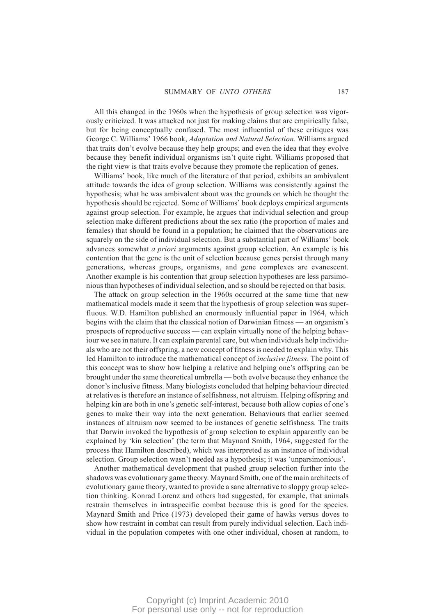All this changed in the 1960s when the hypothesis of group selection was vigorously criticized. It was attacked not just for making claims that are empirically false, but for being conceptually confused. The most influential of these critiques was George C. Williams' 1966 book, *Adaptation and Natural Selection*. Williams argued that traits don't evolve because they help groups; and even the idea that they evolve because they benefit individual organisms isn't quite right. Williams proposed that the right view is that traits evolve because they promote the replication of genes.

Williams' book, like much of the literature of that period, exhibits an ambivalent attitude towards the idea of group selection. Williams was consistently against the hypothesis; what he was ambivalent about was the grounds on which he thought the hypothesis should be rejected. Some of Williams' book deploys empirical arguments against group selection. For example, he argues that individual selection and group selection make different predictions about the sex ratio (the proportion of males and females) that should be found in a population; he claimed that the observations are squarely on the side of individual selection. But a substantial part of Williams' book advances somewhat *a priori* arguments against group selection. An example is his contention that the gene is the unit of selection because genes persist through many generations, whereas groups, organisms, and gene complexes are evanescent. Another example is his contention that group selection hypotheses are less parsimonious than hypotheses of individual selection, and so should be rejected on that basis.

The attack on group selection in the 1960s occurred at the same time that new mathematical models made it seem that the hypothesis of group selection was superfluous. W.D. Hamilton published an enormously influential paper in 1964, which begins with the claim that the classical notion of Darwinian fitness — an organism's prospects of reproductive success — can explain virtually none of the helping behaviour we see in nature. It can explain parental care, but when individuals help individuals who are not their offspring, a new concept of fitness is needed to explain why. This led Hamilton to introduce the mathematical concept of *inclusive fitness*. The point of this concept was to show how helping a relative and helping one's offspring can be brought under the same theoretical umbrella — both evolve because they enhance the donor's inclusive fitness. Many biologists concluded that helping behaviour directed at relatives is therefore an instance of selfishness, not altruism. Helping offspring and helping kin are both in one's genetic self-interest, because both allow copies of one's genes to make their way into the next generation. Behaviours that earlier seemed instances of altruism now seemed to be instances of genetic selfishness. The traits that Darwin invoked the hypothesis of group selection to explain apparently can be explained by 'kin selection' (the term that Maynard Smith, 1964, suggested for the process that Hamilton described), which was interpreted as an instance of individual selection. Group selection wasn't needed as a hypothesis; it was 'unparsimonious'.

Another mathematical development that pushed group selection further into the shadows was evolutionary game theory. Maynard Smith, one of the main architects of evolutionary game theory, wanted to provide a sane alternative to sloppy group selection thinking. Konrad Lorenz and others had suggested, for example, that animals restrain themselves in intraspecific combat because this is good for the species. Maynard Smith and Price (1973) developed their game of hawks versus doves to show how restraint in combat can result from purely individual selection. Each individual in the population competes with one other individual, chosen at random, to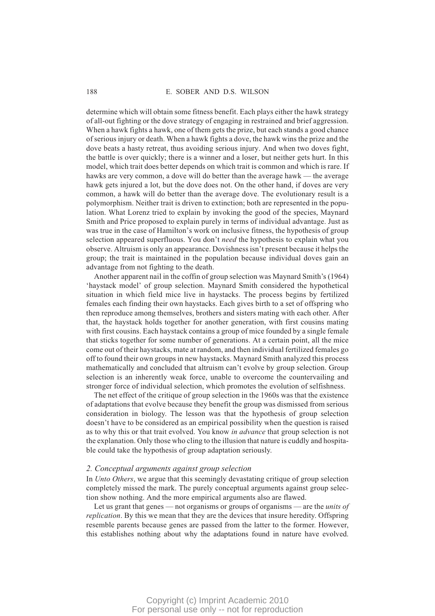determine which will obtain some fitness benefit. Each plays either the hawk strategy of all-out fighting or the dove strategy of engaging in restrained and brief aggression. When a hawk fights a hawk, one of them gets the prize, but each stands a good chance of serious injury or death. When a hawk fights a dove, the hawk wins the prize and the dove beats a hasty retreat, thus avoiding serious injury. And when two doves fight, the battle is over quickly; there is a winner and a loser, but neither gets hurt. In this model, which trait does better depends on which trait is common and which is rare. If hawks are very common, a dove will do better than the average hawk — the average hawk gets injured a lot, but the dove does not. On the other hand, if doves are very common, a hawk will do better than the average dove. The evolutionary result is a polymorphism. Neither trait is driven to extinction; both are represented in the population. What Lorenz tried to explain by invoking the good of the species, Maynard Smith and Price proposed to explain purely in terms of individual advantage. Just as was true in the case of Hamilton's work on inclusive fitness, the hypothesis of group selection appeared superfluous. You don't *need* the hypothesis to explain what you observe. Altruism is only an appearance. Dovishness isn't present because it helps the group; the trait is maintained in the population because individual doves gain an advantage from not fighting to the death.

Another apparent nail in the coffin of group selection was Maynard Smith's (1964) 'haystack model' of group selection. Maynard Smith considered the hypothetical situation in which field mice live in haystacks. The process begins by fertilized females each finding their own haystacks. Each gives birth to a set of offspring who then reproduce among themselves, brothers and sisters mating with each other. After that, the haystack holds together for another generation, with first cousins mating with first cousins. Each haystack contains a group of mice founded by a single female that sticks together for some number of generations. At a certain point, all the mice come out of their haystacks, mate at random, and then individual fertilized females go off to found their own groups in new haystacks. Maynard Smith analyzed this process mathematically and concluded that altruism can't evolve by group selection. Group selection is an inherently weak force, unable to overcome the countervailing and stronger force of individual selection, which promotes the evolution of selfishness.

The net effect of the critique of group selection in the 1960s was that the existence of adaptations that evolve because they benefit the group was dismissed from serious consideration in biology. The lesson was that the hypothesis of group selection doesn't have to be considered as an empirical possibility when the question is raised as to why this or that trait evolved. You know *in advance* that group selection is not the explanation. Only those who cling to the illusion that nature is cuddly and hospitable could take the hypothesis of group adaptation seriously.

#### *2. Conceptual arguments against group selection*

In *Unto Others*, we argue that this seemingly devastating critique of group selection completely missed the mark. The purely conceptual arguments against group selection show nothing. And the more empirical arguments also are flawed.

Let us grant that genes — not organisms or groups of organisms — are the *units of replication*. By this we mean that they are the devices that insure heredity. Offspring resemble parents because genes are passed from the latter to the former. However, this establishes nothing about why the adaptations found in nature have evolved.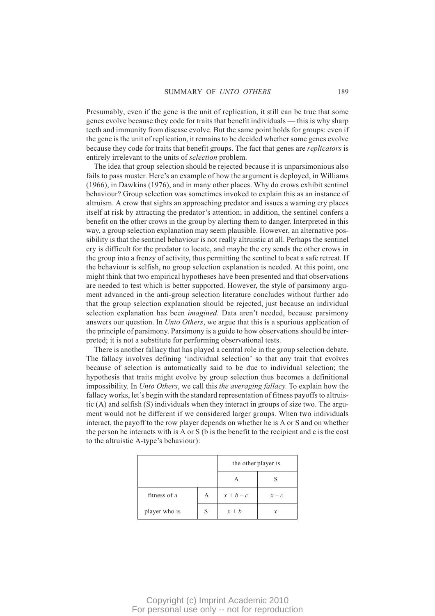Presumably, even if the gene is the unit of replication, it still can be true that some genes evolve because they code for traits that benefit individuals — this is why sharp teeth and immunity from disease evolve. But the same point holds for groups: even if the gene is the unit of replication, it remains to be decided whether some genes evolve because they code for traits that benefit groups. The fact that genes are *replicators* is entirely irrelevant to the units of *selection* problem.

The idea that group selection should be rejected because it is unparsimonious also fails to pass muster. Here's an example of how the argument is deployed, in Williams (1966), in Dawkins (1976), and in many other places. Why do crows exhibit sentinel behaviour? Group selection was sometimes invoked to explain this as an instance of altruism. A crow that sights an approaching predator and issues a warning cry places itself at risk by attracting the predator's attention; in addition, the sentinel confers a benefit on the other crows in the group by alerting them to danger. Interpreted in this way, a group selection explanation may seem plausible. However, an alternative possibility is that the sentinel behaviour is not really altruistic at all. Perhaps the sentinel cry is difficult for the predator to locate, and maybe the cry sends the other crows in the group into a frenzy of activity, thus permitting the sentinel to beat a safe retreat. If the behaviour is selfish, no group selection explanation is needed. At this point, one might think that two empirical hypotheses have been presented and that observations are needed to test which is better supported. However, the style of parsimony argument advanced in the anti-group selection literature concludes without further ado that the group selection explanation should be rejected, just because an individual selection explanation has been *imagined*. Data aren't needed, because parsimony answers our question. In *Unto Others*, we argue that this is a spurious application of the principle of parsimony. Parsimony is a guide to how observations should be interpreted; it is not a substitute for performing observational tests.

There is another fallacy that has played a central role in the group selection debate. The fallacy involves defining 'individual selection' so that any trait that evolves because of selection is automatically said to be due to individual selection; the hypothesis that traits might evolve by group selection thus becomes a definitional impossibility. In *Unto Others*, we call this *the averaging fallacy*. To explain how the fallacy works, let's begin with the standard representation of fitness payoffs to altruistic (A) and selfish (S) individuals when they interact in groups of size two. The argument would not be different if we considered larger groups. When two individuals interact, the payoff to the row player depends on whether he is A or S and on whether the person he interacts with is A or S (b is the benefit to the recipient and c is the cost to the altruistic A-type's behaviour):

|               |   | the other player is |       |
|---------------|---|---------------------|-------|
|               |   |                     |       |
| fitness of a  | А | $x + b - c$         | $x-c$ |
| player who is |   | $x + b$             | x     |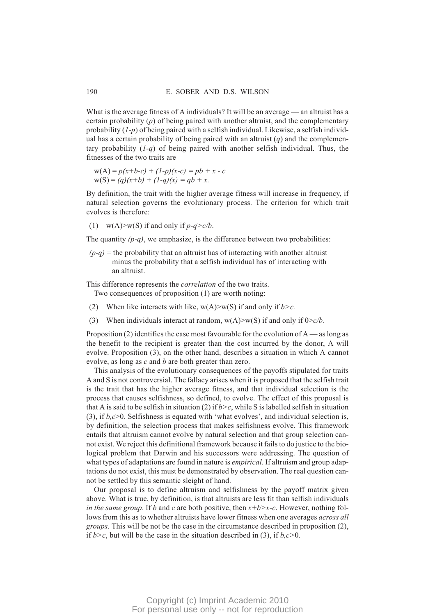What is the average fitness of A individuals? It will be an average — an altruist has a certain probability (*p*) of being paired with another altruist, and the complementary probability (*1-p*) of being paired with a selfish individual. Likewise, a selfish individual has a certain probability of being paired with an altruist  $(q)$  and the complementary probability (*1-q*) of being paired with another selfish individual. Thus, the fitnesses of the two traits are

$$
w(A) = p(x+b-c) + (1-p)(x-c) = pb + x - c
$$
  
\n
$$
w(S) = (q)(x+b) + (1-q)(x) = qb + x.
$$

By definition, the trait with the higher average fitness will increase in frequency, if natural selection governs the evolutionary process. The criterion for which trait evolves is therefore:

(1)  $w(A) > w(S)$  if and only if  $p-q > c/b$ .

The quantity  $(p-q)$ , we emphasize, is the difference between two probabilities:

 $(p-q)$  = the probability that an altruist has of interacting with another altruist minus the probability that a selfish individual has of interacting with an altruist.

This difference represents the *correlation* of the two traits.

Two consequences of proposition (1) are worth noting:

- (2) When like interacts with like,  $w(A) > w(S)$  if and only if  $b > c$ .
- (3) When individuals interact at random,  $w(A) > w(S)$  if and only if  $0 > c/b$ .

Proposition (2) identifies the case most favourable for the evolution of  $A$  — as long as the benefit to the recipient is greater than the cost incurred by the donor, A will evolve. Proposition (3), on the other hand, describes a situation in which A cannot evolve, as long as *c* and *b* are both greater than zero.

This analysis of the evolutionary consequences of the payoffs stipulated for traits A and S is not controversial. The fallacy arises when it is proposed that the selfish trait is the trait that has the higher average fitness, and that individual selection is the process that causes selfishness, so defined, to evolve. The effect of this proposal is that A is said to be selfish in situation (2) if  $b > c$ , while S is labelled selfish in situation (3), if *b,c*>0. Selfishness is equated with 'what evolves', and individual selection is, by definition, the selection process that makes selfishness evolve. This framework entails that altruism cannot evolve by natural selection and that group selection cannot exist. We reject this definitional framework because it fails to do justice to the biological problem that Darwin and his successors were addressing. The question of what types of adaptations are found in nature is *empirical*. If altruism and group adaptations do not exist, this must be demonstrated by observation. The real question cannot be settled by this semantic sleight of hand.

Our proposal is to define altruism and selfishness by the payoff matrix given above. What is true, by definition, is that altruists are less fit than selfish individuals *in the same group*. If *b* and *c* are both positive, then *x+b>x-c*. However, nothing follows from this as to whether altruists have lower fitness when one averages *across all groups*. This will be not be the case in the circumstance described in proposition (2), if  $b > c$ , but will be the case in the situation described in (3), if  $b, c > 0$ .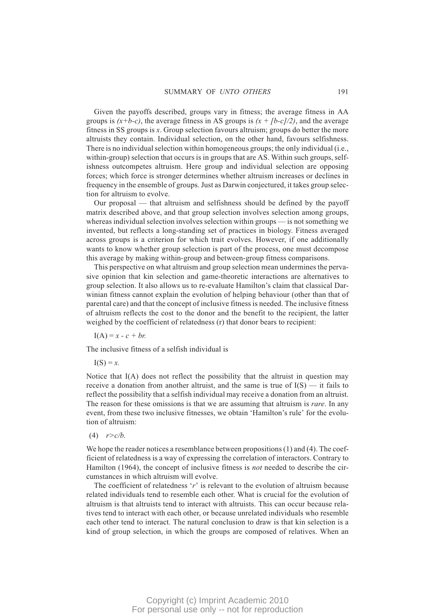Given the payoffs described, groups vary in fitness; the average fitness in AA groups is  $(x+b-c)$ , the average fitness in AS groups is  $(x + \frac{b-c}{2})$ , and the average fitness in SS groups is *x*. Group selection favours altruism; groups do better the more altruists they contain. Individual selection, on the other hand, favours selfishness. There is no individual selection within homogeneous groups; the only individual (i.e., within-group) selection that occurs is in groups that are AS. Within such groups, selfishness outcompetes altruism. Here group and individual selection are opposing forces; which force is stronger determines whether altruism increases or declines in frequency in the ensemble of groups. Just as Darwin conjectured, it takes group selection for altruism to evolve.

Our proposal — that altruism and selfishness should be defined by the payoff matrix described above, and that group selection involves selection among groups, whereas individual selection involves selection within groups — is not something we invented, but reflects a long-standing set of practices in biology. Fitness averaged across groups is a criterion for which trait evolves. However, if one additionally wants to know whether group selection is part of the process, one must decompose this average by making within-group and between-group fitness comparisons.

This perspective on what altruism and group selection mean undermines the pervasive opinion that kin selection and game-theoretic interactions are alternatives to group selection. It also allows us to re-evaluate Hamilton's claim that classical Darwinian fitness cannot explain the evolution of helping behaviour (other than that of parental care) and that the concept of inclusive fitness is needed. The inclusive fitness of altruism reflects the cost to the donor and the benefit to the recipient, the latter weighed by the coefficient of relatedness (r) that donor bears to recipient:

 $I(A) = x - c + br$ .

The inclusive fitness of a selfish individual is

 $I(S) = x$ .

Notice that I(A) does not reflect the possibility that the altruist in question may receive a donation from another altruist, and the same is true of  $I(S)$  — it fails to reflect the possibility that a selfish individual may receive a donation from an altruist. The reason for these omissions is that we are assuming that altruism is *rare*. In any event, from these two inclusive fitnesses, we obtain 'Hamilton's rule' for the evolution of altruism:

(4) *r>c/b.*

We hope the reader notices a resemblance between propositions (1) and (4). The coefficient of relatedness is a way of expressing the correlation of interactors. Contrary to Hamilton (1964), the concept of inclusive fitness is *not* needed to describe the circumstances in which altruism will evolve.

The coefficient of relatedness '*r*' is relevant to the evolution of altruism because related individuals tend to resemble each other. What is crucial for the evolution of altruism is that altruists tend to interact with altruists. This can occur because relatives tend to interact with each other, or because unrelated individuals who resemble each other tend to interact. The natural conclusion to draw is that kin selection is a kind of group selection, in which the groups are composed of relatives. When an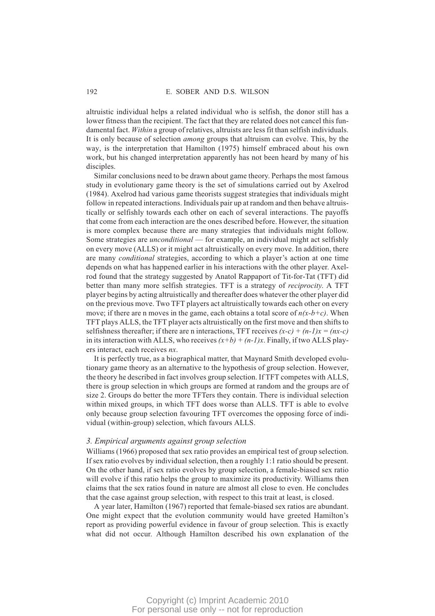altruistic individual helps a related individual who is selfish, the donor still has a lower fitness than the recipient. The fact that they are related does not cancel this fundamental fact. *Within* a group of relatives, altruists are less fit than selfish individuals. It is only because of selection *among* groups that altruism can evolve. This, by the way, is the interpretation that Hamilton (1975) himself embraced about his own work, but his changed interpretation apparently has not been heard by many of his disciples.

Similar conclusions need to be drawn about game theory. Perhaps the most famous study in evolutionary game theory is the set of simulations carried out by Axelrod (1984). Axelrod had various game theorists suggest strategies that individuals might follow in repeated interactions. Individuals pair up at random and then behave altruistically or selfishly towards each other on each of several interactions. The payoffs that come from each interaction are the ones described before. However, the situation is more complex because there are many strategies that individuals might follow. Some strategies are *unconditional* — for example, an individual might act selfishly on every move (ALLS) or it might act altruistically on every move. In addition, there are many *conditional* strategies, according to which a player's action at one time depends on what has happened earlier in his interactions with the other player. Axelrod found that the strategy suggested by Anatol Rappaport of Tit-for-Tat (TFT) did better than many more selfish strategies. TFT is a strategy of *reciprocity*. A TFT player begins by acting altruistically and thereafter does whatever the other player did on the previous move. Two TFT players act altruistically towards each other on every move; if there are n moves in the game, each obtains a total score of *n(x-b+c)*. When TFT plays ALLS, the TFT player acts altruistically on the first move and then shifts to selfishness thereafter; if there are n interactions, TFT receives  $(x-c) + (n-1)x = (nx-c)$ in its interaction with ALLS, who receives  $(x+b) + (n-1)x$ . Finally, if two ALLS players interact, each receives *nx*.

It is perfectly true, as a biographical matter, that Maynard Smith developed evolutionary game theory as an alternative to the hypothesis of group selection. However, the theory he described in fact involves group selection. If TFT competes with ALLS, there is group selection in which groups are formed at random and the groups are of size 2. Groups do better the more TFTers they contain. There is individual selection within mixed groups, in which TFT does worse than ALLS. TFT is able to evolve only because group selection favouring TFT overcomes the opposing force of individual (within-group) selection, which favours ALLS.

#### *3. Empirical arguments against group selection*

Williams (1966) proposed that sex ratio provides an empirical test of group selection. If sex ratio evolves by individual selection, then a roughly 1:1 ratio should be present. On the other hand, if sex ratio evolves by group selection, a female-biased sex ratio will evolve if this ratio helps the group to maximize its productivity. Williams then claims that the sex ratios found in nature are almost all close to even. He concludes that the case against group selection, with respect to this trait at least, is closed.

A year later, Hamilton (1967) reported that female-biased sex ratios are abundant. One might expect that the evolution community would have greeted Hamilton's report as providing powerful evidence in favour of group selection. This is exactly what did not occur. Although Hamilton described his own explanation of the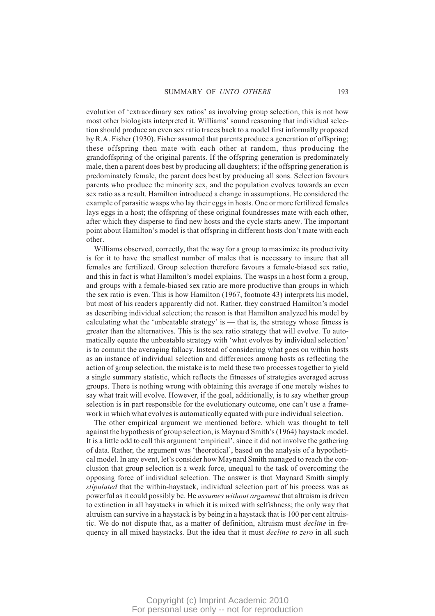evolution of 'extraordinary sex ratios' as involving group selection, this is not how most other biologists interpreted it. Williams' sound reasoning that individual selection should produce an even sex ratio traces back to a model first informally proposed by R.A. Fisher (1930). Fisher assumed that parents produce a generation of offspring; these offspring then mate with each other at random, thus producing the grandoffspring of the original parents. If the offspring generation is predominately male, then a parent does best by producing all daughters; if the offspring generation is predominately female, the parent does best by producing all sons. Selection favours parents who produce the minority sex, and the population evolves towards an even sex ratio as a result. Hamilton introduced a change in assumptions. He considered the example of parasitic wasps who lay their eggs in hosts. One or more fertilized females lays eggs in a host; the offspring of these original foundresses mate with each other, after which they disperse to find new hosts and the cycle starts anew. The important point about Hamilton's model is that offspring in different hosts don't mate with each other.

Williams observed, correctly, that the way for a group to maximize its productivity is for it to have the smallest number of males that is necessary to insure that all females are fertilized. Group selection therefore favours a female-biased sex ratio, and this in fact is what Hamilton's model explains. The wasps in a host form a group, and groups with a female-biased sex ratio are more productive than groups in which the sex ratio is even. This is how Hamilton (1967, footnote 43) interprets his model, but most of his readers apparently did not. Rather, they construed Hamilton's model as describing individual selection; the reason is that Hamilton analyzed his model by calculating what the 'unbeatable strategy' is — that is, the strategy whose fitness is greater than the alternatives. This is the sex ratio strategy that will evolve. To automatically equate the unbeatable strategy with 'what evolves by individual selection' is to commit the averaging fallacy. Instead of considering what goes on within hosts as an instance of individual selection and differences among hosts as reflecting the action of group selection, the mistake is to meld these two processes together to yield a single summary statistic, which reflects the fitnesses of strategies averaged across groups. There is nothing wrong with obtaining this average if one merely wishes to say what trait will evolve. However, if the goal, additionally, is to say whether group selection is in part responsible for the evolutionary outcome, one can't use a framework in which what evolves is automatically equated with pure individual selection.

The other empirical argument we mentioned before, which was thought to tell against the hypothesis of group selection, is Maynard Smith's (1964) haystack model. It is a little odd to call this argument 'empirical', since it did not involve the gathering of data. Rather, the argument was 'theoretical', based on the analysis of a hypothetical model. In any event, let's consider how Maynard Smith managed to reach the conclusion that group selection is a weak force, unequal to the task of overcoming the opposing force of individual selection. The answer is that Maynard Smith simply *stipulated* that the within-haystack, individual selection part of his process was as powerful as it could possibly be. He *assumes without argument* that altruism is driven to extinction in all haystacks in which it is mixed with selfishness; the only way that altruism can survive in a haystack is by being in a haystack that is 100 per cent altruistic. We do not dispute that, as a matter of definition, altruism must *decline* in frequency in all mixed haystacks. But the idea that it must *decline to zero* in all such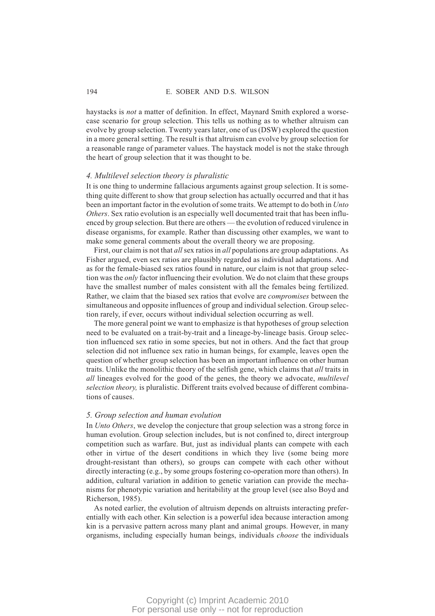haystacks is *not* a matter of definition. In effect, Maynard Smith explored a worsecase scenario for group selection. This tells us nothing as to whether altruism can evolve by group selection. Twenty years later, one of us (DSW) explored the question in a more general setting. The result is that altruism can evolve by group selection for a reasonable range of parameter values. The haystack model is not the stake through the heart of group selection that it was thought to be.

#### *4. Multilevel selection theory is pluralistic*

It is one thing to undermine fallacious arguments against group selection. It is something quite different to show that group selection has actually occurred and that it has been an important factor in the evolution of some traits. We attempt to do both in *Unto Others*. Sex ratio evolution is an especially well documented trait that has been influenced by group selection. But there are others — the evolution of reduced virulence in disease organisms, for example. Rather than discussing other examples, we want to make some general comments about the overall theory we are proposing.

First, our claim is not that *all* sex ratios in *all* populations are group adaptations. As Fisher argued, even sex ratios are plausibly regarded as individual adaptations. And as for the female-biased sex ratios found in nature, our claim is not that group selection was the *only* factor influencing their evolution. We do not claim that these groups have the smallest number of males consistent with all the females being fertilized. Rather, we claim that the biased sex ratios that evolve are *compromises* between the simultaneous and opposite influences of group and individual selection. Group selection rarely, if ever, occurs without individual selection occurring as well.

The more general point we want to emphasize is that hypotheses of group selection need to be evaluated on a trait-by-trait and a lineage-by-lineage basis. Group selection influenced sex ratio in some species, but not in others. And the fact that group selection did not influence sex ratio in human beings, for example, leaves open the question of whether group selection has been an important influence on other human traits. Unlike the monolithic theory of the selfish gene, which claims that *all* traits in *all* lineages evolved for the good of the genes, the theory we advocate, *multilevel selection theory,* is pluralistic. Different traits evolved because of different combinations of causes.

#### *5. Group selection and human evolution*

In *Unto Others*, we develop the conjecture that group selection was a strong force in human evolution. Group selection includes, but is not confined to, direct intergroup competition such as warfare. But, just as individual plants can compete with each other in virtue of the desert conditions in which they live (some being more drought-resistant than others), so groups can compete with each other without directly interacting (e.g., by some groups fostering co-operation more than others). In addition, cultural variation in addition to genetic variation can provide the mechanisms for phenotypic variation and heritability at the group level (see also Boyd and Richerson, 1985).

As noted earlier, the evolution of altruism depends on altruists interacting preferentially with each other. Kin selection is a powerful idea because interaction among kin is a pervasive pattern across many plant and animal groups. However, in many organisms, including especially human beings, individuals *choose* the individuals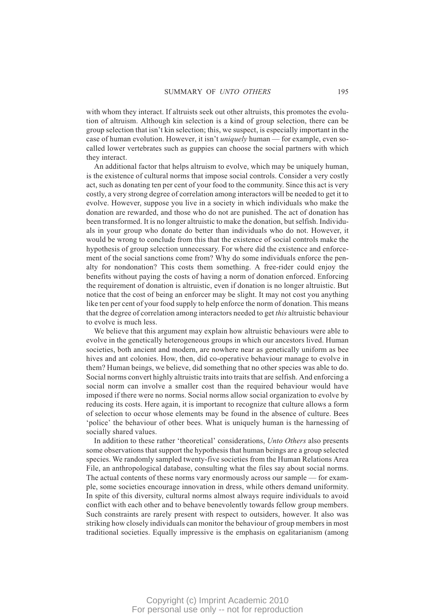with whom they interact. If altruists seek out other altruists, this promotes the evolution of altruism. Although kin selection is a kind of group selection, there can be group selection that isn't kin selection; this, we suspect, is especially important in the case of human evolution. However, it isn't *uniquely* human — for example, even socalled lower vertebrates such as guppies can choose the social partners with which they interact.

An additional factor that helps altruism to evolve, which may be uniquely human, is the existence of cultural norms that impose social controls. Consider a very costly act, such as donating ten per cent of your food to the community. Since this act is very costly, a very strong degree of correlation among interactors will be needed to get it to evolve. However, suppose you live in a society in which individuals who make the donation are rewarded, and those who do not are punished. The act of donation has been transformed. It is no longer altruistic to make the donation, but selfish. Individuals in your group who donate do better than individuals who do not. However, it would be wrong to conclude from this that the existence of social controls make the hypothesis of group selection unnecessary. For where did the existence and enforcement of the social sanctions come from? Why do some individuals enforce the penalty for nondonation? This costs them something. A free-rider could enjoy the benefits without paying the costs of having a norm of donation enforced. Enforcing the requirement of donation is altruistic, even if donation is no longer altruistic. But notice that the cost of being an enforcer may be slight. It may not cost you anything like ten per cent of your food supply to help enforce the norm of donation. This means that the degree of correlation among interactors needed to get *this* altruistic behaviour to evolve is much less.

We believe that this argument may explain how altruistic behaviours were able to evolve in the genetically heterogeneous groups in which our ancestors lived. Human societies, both ancient and modern, are nowhere near as genetically uniform as bee hives and ant colonies. How, then, did co-operative behaviour manage to evolve in them? Human beings, we believe, did something that no other species was able to do. Social norms convert highly altruistic traits into traits that are selfish. And enforcing a social norm can involve a smaller cost than the required behaviour would have imposed if there were no norms. Social norms allow social organization to evolve by reducing its costs. Here again, it is important to recognize that culture allows a form of selection to occur whose elements may be found in the absence of culture. Bees 'police' the behaviour of other bees. What is uniquely human is the harnessing of socially shared values.

In addition to these rather 'theoretical' considerations, *Unto Others* also presents some observations that support the hypothesis that human beings are a group selected species. We randomly sampled twenty-five societies from the Human Relations Area File, an anthropological database, consulting what the files say about social norms. The actual contents of these norms vary enormously across our sample — for example, some societies encourage innovation in dress, while others demand uniformity. In spite of this diversity, cultural norms almost always require individuals to avoid conflict with each other and to behave benevolently towards fellow group members. Such constraints are rarely present with respect to outsiders, however. It also was striking how closely individuals can monitor the behaviour of group members in most traditional societies. Equally impressive is the emphasis on egalitarianism (among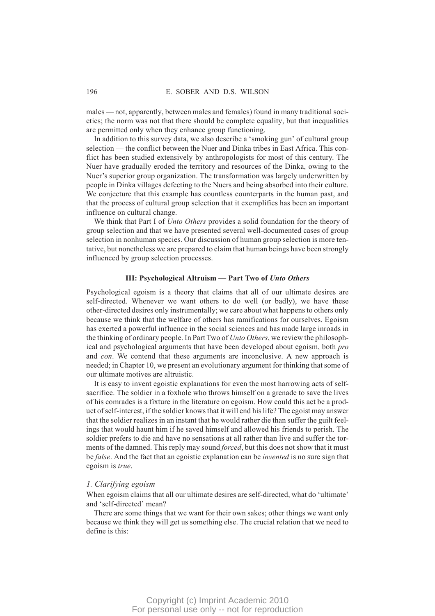males — not, apparently, between males and females) found in many traditional societies; the norm was not that there should be complete equality, but that inequalities are permitted only when they enhance group functioning.

In addition to this survey data, we also describe a 'smoking gun' of cultural group selection — the conflict between the Nuer and Dinka tribes in East Africa. This conflict has been studied extensively by anthropologists for most of this century. The Nuer have gradually eroded the territory and resources of the Dinka, owing to the Nuer's superior group organization. The transformation was largely underwritten by people in Dinka villages defecting to the Nuers and being absorbed into their culture. We conjecture that this example has countless counterparts in the human past, and that the process of cultural group selection that it exemplifies has been an important influence on cultural change.

We think that Part I of *Unto Others* provides a solid foundation for the theory of group selection and that we have presented several well-documented cases of group selection in nonhuman species. Our discussion of human group selection is more tentative, but nonetheless we are prepared to claim that human beings have been strongly influenced by group selection processes.

#### **III: Psychological Altruism — Part Two of** *Unto Others*

Psychological egoism is a theory that claims that all of our ultimate desires are self-directed. Whenever we want others to do well (or badly), we have these other-directed desires only instrumentally; we care about what happens to others only because we think that the welfare of others has ramifications for ourselves. Egoism has exerted a powerful influence in the social sciences and has made large inroads in the thinking of ordinary people. In Part Two of *Unto Others*, we review the philosophical and psychological arguments that have been developed about egoism, both *pro* and *con*. We contend that these arguments are inconclusive. A new approach is needed; in Chapter 10, we present an evolutionary argument for thinking that some of our ultimate motives are altruistic.

It is easy to invent egoistic explanations for even the most harrowing acts of selfsacrifice. The soldier in a foxhole who throws himself on a grenade to save the lives of his comrades is a fixture in the literature on egoism. How could this act be a product of self-interest, if the soldier knows that it will end his life? The egoist may answer that the soldier realizes in an instant that he would rather die than suffer the guilt feelings that would haunt him if he saved himself and allowed his friends to perish. The soldier prefers to die and have no sensations at all rather than live and suffer the torments of the damned. This reply may sound *forced*, but this does not show that it must be *false*. And the fact that an egoistic explanation can be *invented* is no sure sign that egoism is *true*.

#### *1. Clarifying egoism*

When egoism claims that all our ultimate desires are self-directed, what do 'ultimate' and 'self-directed' mean?

There are some things that we want for their own sakes; other things we want only because we think they will get us something else. The crucial relation that we need to define is this: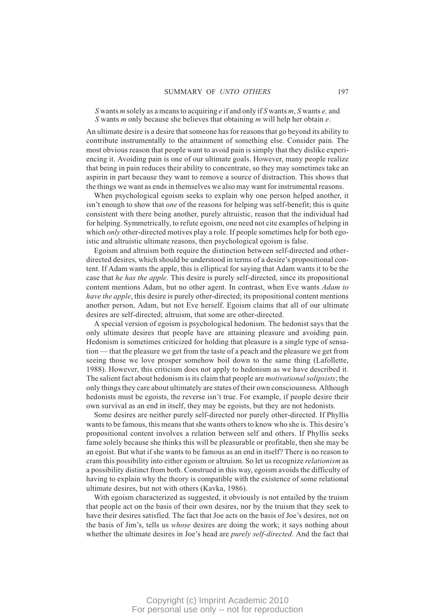*S* wants *m* solely as a means to acquiring *e* if and only if *S* wants *m*, *S* wants *e,* and *S* wants *m* only because she believes that obtaining *m* will help her obtain *e*.

An ultimate desire is a desire that someone has for reasons that go beyond its ability to contribute instrumentally to the attainment of something else. Consider pain. The most obvious reason that people want to avoid pain is simply that they dislike experiencing it. Avoiding pain is one of our ultimate goals. However, many people realize that being in pain reduces their ability to concentrate, so they may sometimes take an aspirin in part because they want to remove a source of distraction. This shows that the things we want as ends in themselves we also may want for instrumental reasons.

When psychological egoism seeks to explain why one person helped another, it isn't enough to show that *one* of the reasons for helping was self-benefit; this is quite consistent with there being another, purely altruistic, reason that the individual had for helping. Symmetrically, to refute egoism, one need not cite examples of helping in which *only* other-directed motives play a role. If people sometimes help for both egoistic and altruistic ultimate reasons, then psychological egoism is false.

Egoism and altruism both require the distinction between self-directed and otherdirected desires, which should be understood in terms of a desire's propositional content. If Adam wants the apple, this is elliptical for saying that Adam wants it to be the case that *he has the apple*. This desire is purely self-directed, since its propositional content mentions Adam, but no other agent. In contrast, when Eve wants *Adam to have the apple*, this desire is purely other-directed; its propositional content mentions another person, Adam, but not Eve herself. Egoism claims that all of our ultimate desires are self-directed; altruism, that some are other-directed.

A special version of egoism is psychological hedonism. The hedonist says that the only ultimate desires that people have are attaining pleasure and avoiding pain. Hedonism is sometimes criticized for holding that pleasure is a single type of sensation — that the pleasure we get from the taste of a peach and the pleasure we get from seeing those we love prosper somehow boil down to the same thing (Lafollette, 1988). However, this criticism does not apply to hedonism as we have described it. The salient fact about hedonism is its claim that people are *motivational solipsists*; the only things they care about ultimately are states of their own consciousness. Although hedonists must be egoists, the reverse isn't true. For example, if people desire their own survival as an end in itself, they may be egoists, but they are not hedonists.

Some desires are neither purely self-directed nor purely other-directed. If Phyllis wants to be famous, this means that she wants others to know who she is. This desire's propositional content involves a relation between self and others. If Phyllis seeks fame solely because she thinks this will be pleasurable or profitable, then she may be an egoist. But what if she wants to be famous as an end in itself? There is no reason to cram this possibility into either egoism or altruism. So let us recognize *relationism* as a possibility distinct from both. Construed in this way, egoism avoids the difficulty of having to explain why the theory is compatible with the existence of some relational ultimate desires, but not with others (Kavka, 1986).

With egoism characterized as suggested, it obviously is not entailed by the truism that people act on the basis of their own desires, nor by the truism that they seek to have their desires satisfied. The fact that Joe acts on the basis of Joe's desires, not on the basis of Jim's, tells us *whose* desires are doing the work; it says nothing about whether the ultimate desires in Joe's head are *purely self-directed*. And the fact that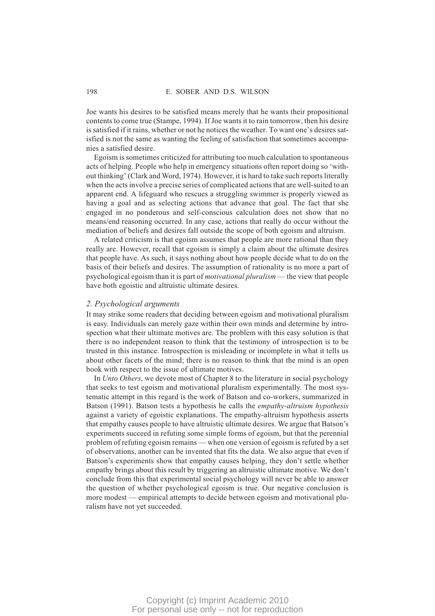Joe wants his desires to be satisfied means merely that he wants their propositional contents to come true (Stampe, 1994). If Joe wants it to rain tomorrow, then his desire is satisfied if it rains, whether or not he notices the weather. To want one's desires satisfied is not the same as wanting the feeling of satisfaction that sometimes accompanies a satisfied desire.

Egoism is sometimes criticized for attributing too much calculation to spontaneous acts of helping. People who help in emergency situations often report doing so 'without thinking' (Clark and Word, 1974). However, it is hard to take such reports literally when the acts involve a precise series of complicated actions that are well-suited to an apparent end. A lifeguard who rescues a struggling swimmer is properly viewed as having a goal and as selecting actions that advance that goal. The fact that she engaged in no ponderous and self-conscious calculation does not show that no means/end reasoning occurred. In any case, actions that really do occur without the mediation of beliefs and desires fall outside the scope of both egoism and altruism.

A related criticism is that egoism assumes that people are more rational than they really are. However, recall that egoism is simply a claim about the ultimate desires that people have. As such, it says nothing about how people decide what to do on the basis of their beliefs and desires. The assumption of rationality is no more a part of psychological egoism than it is part of *motivational pluralism* — the view that people have both egoistic and altruistic ultimate desires.

#### *2. Psychological arguments*

It may strike some readers that deciding between egoism and motivational pluralism is easy. Individuals can merely gaze within their own minds and determine by introspection what their ultimate motives are. The problem with this easy solution is that there is no independent reason to think that the testimony of introspection is to be trusted in this instance. Introspection is misleading or incomplete in what it tells us about other facets of the mind; there is no reason to think that the mind is an open book with respect to the issue of ultimate motives.

In *Unto Others*, we devote most of Chapter 8 to the literature in social psychology that seeks to test egoism and motivational pluralism experimentally. The most systematic attempt in this regard is the work of Batson and co-workers, summarized in Batson (1991). Batson tests a hypothesis he calls the *empathy-altruism hypothesis* against a variety of egoistic explanations. The empathy-altruism hypothesis asserts that empathy causes people to have altruistic ultimate desires. We argue that Batson's experiments succeed in refuting some simple forms of egoism, but that the perennial problem of refuting egoism remains — when one version of egoism is refuted by a set of observations, another can be invented that fits the data. We also argue that even if Batson's experiments show that empathy causes helping, they don't settle whether empathy brings about this result by triggering an altruistic ultimate motive. We don't conclude from this that experimental social psychology will never be able to answer the question of whether psychological egoism is true. Our negative conclusion is more modest — empirical attempts to decide between egoism and motivational pluralism have not yet succeeded.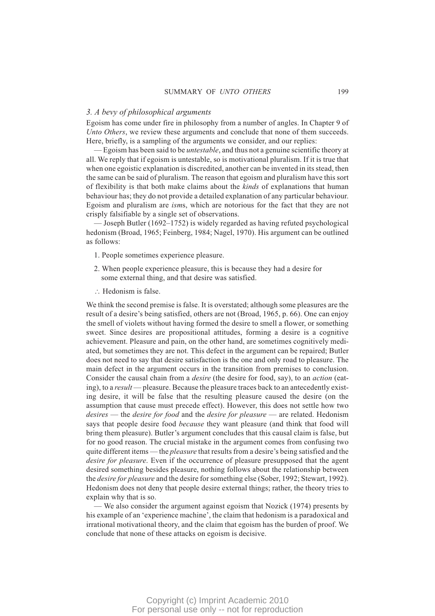#### *3. A bevy of philosophical arguments*

Egoism has come under fire in philosophy from a number of angles. In Chapter 9 of *Unto Others*, we review these arguments and conclude that none of them succeeds. Here, briefly, is a sampling of the arguments we consider, and our replies:

— Egoism has been said to be *untestable*, and thus not a genuine scientific theory at all. We reply that if egoism is untestable, so is motivational pluralism. If it is true that when one egoistic explanation is discredited, another can be invented in its stead, then the same can be said of pluralism. The reason that egoism and pluralism have this sort of flexibility is that both make claims about the *kinds* of explanations that human behaviour has; they do not provide a detailed explanation of any particular behaviour. Egoism and pluralism are *ism*s, which are notorious for the fact that they are not crisply falsifiable by a single set of observations.

— Joseph Butler (1692–1752) is widely regarded as having refuted psychological hedonism (Broad, 1965; Feinberg, 1984; Nagel, 1970). His argument can be outlined as follows:

- 1. People sometimes experience pleasure.
- 2. When people experience pleasure, this is because they had a desire for some external thing, and that desire was satisfied.
- $\therefore$  Hedonism is false.

We think the second premise is false. It is overstated; although some pleasures are the result of a desire's being satisfied, others are not (Broad, 1965, p. 66). One can enjoy the smell of violets without having formed the desire to smell a flower, or something sweet. Since desires are propositional attitudes, forming a desire is a cognitive achievement. Pleasure and pain, on the other hand, are sometimes cognitively mediated, but sometimes they are not. This defect in the argument can be repaired; Butler does not need to say that desire satisfaction is the one and only road to pleasure. The main defect in the argument occurs in the transition from premises to conclusion. Consider the causal chain from a *desire* (the desire for food, say), to an *action* (eating), to a *result* — pleasure. Because the pleasure traces back to an antecedently existing desire, it will be false that the resulting pleasure caused the desire (on the assumption that cause must precede effect). However, this does not settle how two *desires* — the *desire for food* and the *desire for pleasure* — are related. Hedonism says that people desire food *because* they want pleasure (and think that food will bring them pleasure). Butler's argument concludes that this causal claim is false, but for no good reason. The crucial mistake in the argument comes from confusing two quite different items — the *pleasure* that results from a desire's being satisfied and the *desire for pleasure*. Even if the occurrence of pleasure presupposed that the agent desired something besides pleasure, nothing follows about the relationship between the *desire for pleasure* and the desire for something else (Sober, 1992; Stewart, 1992). Hedonism does not deny that people desire external things; rather, the theory tries to explain why that is so.

— We also consider the argument against egoism that Nozick (1974) presents by his example of an 'experience machine', the claim that hedonism is a paradoxical and irrational motivational theory, and the claim that egoism has the burden of proof. We conclude that none of these attacks on egoism is decisive.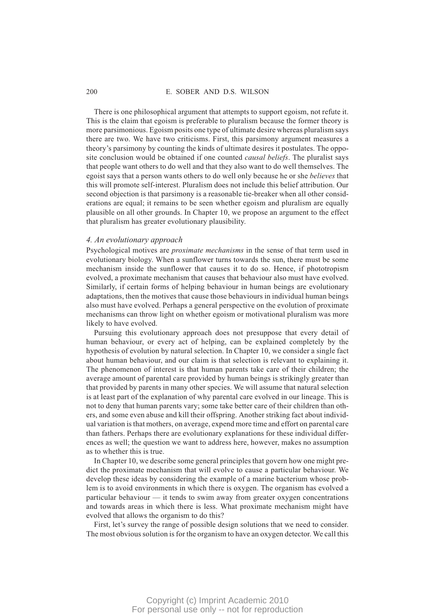200 E. SOBER AND D.S. WILSON

There is one philosophical argument that attempts to support egoism, not refute it. This is the claim that egoism is preferable to pluralism because the former theory is more parsimonious. Egoism posits one type of ultimate desire whereas pluralism says there are two. We have two criticisms. First, this parsimony argument measures a theory's parsimony by counting the kinds of ultimate desires it postulates. The opposite conclusion would be obtained if one counted *causal beliefs*. The pluralist says that people want others to do well and that they also want to do well themselves. The egoist says that a person wants others to do well only because he or she *believes* that this will promote self-interest. Pluralism does not include this belief attribution. Our second objection is that parsimony is a reasonable tie-breaker when all other considerations are equal; it remains to be seen whether egoism and pluralism are equally plausible on all other grounds. In Chapter 10, we propose an argument to the effect that pluralism has greater evolutionary plausibility.

#### *4. An evolutionary approach*

Psychological motives are *proximate mechanisms* in the sense of that term used in evolutionary biology. When a sunflower turns towards the sun, there must be some mechanism inside the sunflower that causes it to do so. Hence, if phototropism evolved, a proximate mechanism that causes that behaviour also must have evolved. Similarly, if certain forms of helping behaviour in human beings are evolutionary adaptations, then the motives that cause those behaviours in individual human beings also must have evolved. Perhaps a general perspective on the evolution of proximate mechanisms can throw light on whether egoism or motivational pluralism was more likely to have evolved.

Pursuing this evolutionary approach does not presuppose that every detail of human behaviour, or every act of helping, can be explained completely by the hypothesis of evolution by natural selection. In Chapter 10, we consider a single fact about human behaviour, and our claim is that selection is relevant to explaining it. The phenomenon of interest is that human parents take care of their children; the average amount of parental care provided by human beings is strikingly greater than that provided by parents in many other species. We will assume that natural selection is at least part of the explanation of why parental care evolved in our lineage. This is not to deny that human parents vary; some take better care of their children than others, and some even abuse and kill their offspring. Another striking fact about individual variation is that mothers, on average, expend more time and effort on parental care than fathers. Perhaps there are evolutionary explanations for these individual differences as well; the question we want to address here, however, makes no assumption as to whether this is true.

In Chapter 10, we describe some general principles that govern how one might predict the proximate mechanism that will evolve to cause a particular behaviour. We develop these ideas by considering the example of a marine bacterium whose problem is to avoid environments in which there is oxygen. The organism has evolved a particular behaviour — it tends to swim away from greater oxygen concentrations and towards areas in which there is less. What proximate mechanism might have evolved that allows the organism to do this?

First, let's survey the range of possible design solutions that we need to consider. The most obvious solution is for the organism to have an oxygen detector. We call this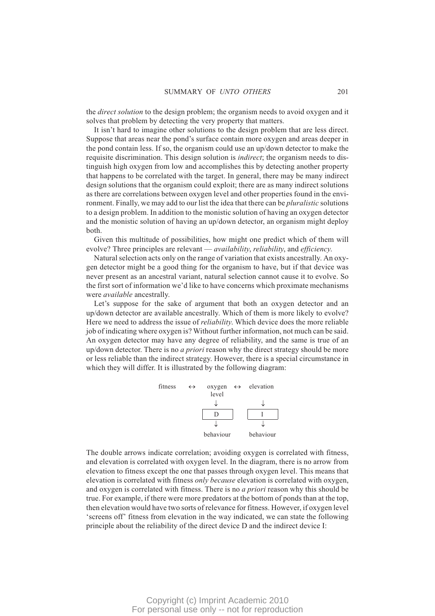the *direct solution* to the design problem; the organism needs to avoid oxygen and it solves that problem by detecting the very property that matters.

It isn't hard to imagine other solutions to the design problem that are less direct. Suppose that areas near the pond's surface contain more oxygen and areas deeper in the pond contain less. If so, the organism could use an up/down detector to make the requisite discrimination. This design solution is *indirect*; the organism needs to distinguish high oxygen from low and accomplishes this by detecting another property that happens to be correlated with the target. In general, there may be many indirect design solutions that the organism could exploit; there are as many indirect solutions as there are correlations between oxygen level and other properties found in the environment. Finally, we may add to our list the idea that there can be *pluralistic* solutions to a design problem. In addition to the monistic solution of having an oxygen detector and the monistic solution of having an up/down detector, an organism might deploy both.

Given this multitude of possibilities, how might one predict which of them will evolve? Three principles are relevant — *availability*, *reliability*, and *efficiency*.

Natural selection acts only on the range of variation that exists ancestrally. An oxygen detector might be a good thing for the organism to have, but if that device was never present as an ancestral variant, natural selection cannot cause it to evolve. So the first sort of information we'd like to have concerns which proximate mechanisms were *available* ancestrally.

Let's suppose for the sake of argument that both an oxygen detector and an up/down detector are available ancestrally. Which of them is more likely to evolve? Here we need to address the issue of *reliability*. Which device does the more reliable job of indicating where oxygen is? Without further information, not much can be said. An oxygen detector may have any degree of reliability, and the same is true of an up/down detector. There is no *a priori* reason why the direct strategy should be more or less reliable than the indirect strategy. However, there is a special circumstance in which they will differ. It is illustrated by the following diagram:



The double arrows indicate correlation; avoiding oxygen is correlated with fitness, and elevation is correlated with oxygen level. In the diagram, there is no arrow from elevation to fitness except the one that passes through oxygen level. This means that elevation is correlated with fitness *only because* elevation is correlated with oxygen, and oxygen is correlated with fitness. There is no *a priori* reason why this should be true. For example, if there were more predators at the bottom of ponds than at the top, then elevation would have two sorts of relevance for fitness. However, if oxygen level 'screens off' fitness from elevation in the way indicated, we can state the following principle about the reliability of the direct device D and the indirect device I: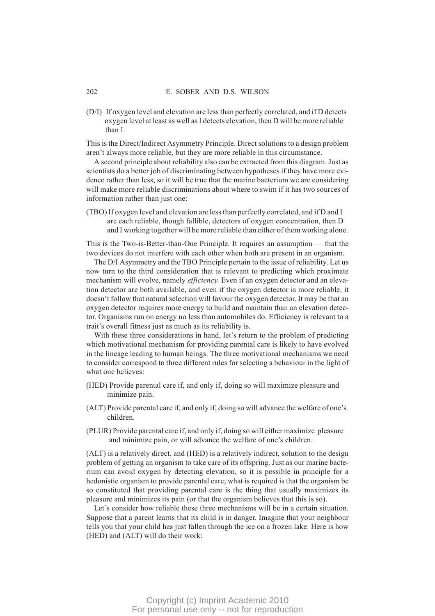(D/I) If oxygen level and elevation are less than perfectly correlated, and if D detects oxygen level at least as well as I detects elevation, then D will be more reliable than I.

This is the Direct/Indirect Asymmetry Principle. Direct solutions to a design problem aren't always more reliable, but they are more reliable in this circumstance.

A second principle about reliability also can be extracted from this diagram. Just as scientists do a better job of discriminating between hypotheses if they have more evidence rather than less, so it will be true that the marine bacterium we are considering will make more reliable discriminations about where to swim if it has two sources of information rather than just one:

(TBO) If oxygen level and elevation are less than perfectly correlated, and if D and I are each reliable, though fallible, detectors of oxygen concentration, then D and I working together will be more reliable than either of them working alone.

This is the Two-is-Better-than-One Principle. It requires an assumption — that the two devices do not interfere with each other when both are present in an organism.

The D/I Asymmetry and the TBO Principle pertain to the issue of reliability. Let us now turn to the third consideration that is relevant to predicting which proximate mechanism will evolve, namely *efficiency*. Even if an oxygen detector and an elevation detector are both available, and even if the oxygen detector is more reliable, it doesn't follow that natural selection will favour the oxygen detector. It may be that an oxygen detector requires more energy to build and maintain than an elevation detector. Organisms run on energy no less than automobiles do. Efficiency is relevant to a trait's overall fitness just as much as its reliability is.

With these three considerations in hand, let's return to the problem of predicting which motivational mechanism for providing parental care is likely to have evolved in the lineage leading to human beings. The three motivational mechanisms we need to consider correspond to three different rules for selecting a behaviour in the light of what one believes:

- (HED) Provide parental care if, and only if, doing so will maximize pleasure and minimize pain.
- (ALT) Provide parental care if, and only if, doing so will advance the welfare of one's children.
- (PLUR) Provide parental care if, and only if, doing so will either maximize pleasure and minimize pain, or will advance the welfare of one's children.

(ALT) is a relatively direct, and (HED) is a relatively indirect, solution to the design problem of getting an organism to take care of its offspring. Just as our marine bacterium can avoid oxygen by detecting elevation, so it is possible in principle for a hedonistic organism to provide parental care; what is required is that the organism be so constituted that providing parental care is the thing that usually maximizes its pleasure and minimizes its pain (or that the organism believes that this is so).

Let's consider how reliable these three mechanisms will be in a certain situation. Suppose that a parent learns that its child is in danger. Imagine that your neighbour tells you that your child has just fallen through the ice on a frozen lake. Here is how (HED) and (ALT) will do their work: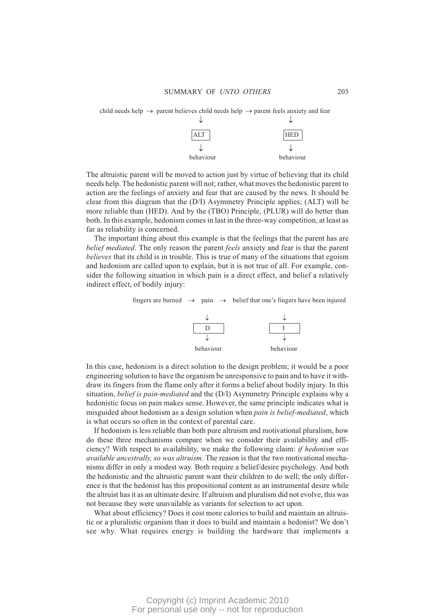

The altruistic parent will be moved to action just by virtue of believing that its child needs help. The hedonistic parent will not; rather, what moves the hedonistic parent to action are the feelings of anxiety and fear that are caused by the news. It should be clear from this diagram that the (D/I) Asymmetry Principle applies; (ALT) will be more reliable than (HED). And by the (TBO) Principle, (PLUR) will do better than both. In this example, hedonism comes in last in the three-way competition, at least as far as reliability is concerned.

The important thing about this example is that the feelings that the parent has are *belief mediated*. The only reason the parent *feels* anxiety and fear is that the parent *believes* that its child is in trouble. This is true of many of the situations that egoism and hedonism are called upon to explain, but it is not true of all. For example, consider the following situation in which pain is a direct effect, and belief a relatively indirect effect, of bodily injury:

fingers are burned  $\rightarrow$  pain  $\rightarrow$  belief that one's fingers have been injured

| behaviour | behaviour |
|-----------|-----------|

In this case, hedonism is a direct solution to the design problem; it would be a poor engineering solution to have the organism be unresponsive to pain and to have it withdraw its fingers from the flame only after it forms a belief about bodily injury. In this situation, *belief is pain-mediated* and the (D/I) Asymmetry Principle explains why a hedonistic focus on pain makes sense. However, the same principle indicates what is misguided about hedonism as a design solution when *pain is belief-mediated*, which is what occurs so often in the context of parental care.

If hedonism is less reliable than both pure altruism and motivational pluralism, how do these three mechanisms compare when we consider their availability and efficiency? With respect to availability, we make the following claim: *if hedonism was available ancestrally, so was altruism*. The reason is that the two motivational mechanisms differ in only a modest way. Both require a belief/desire psychology. And both the hedonistic and the altruistic parent want their children to do well; the only difference is that the hedonist has this propositional content as an instrumental desire while the altruist has it as an ultimate desire. If altruism and pluralism did not evolve, this was not because they were unavailable as variants for selection to act upon.

What about efficiency? Does it cost more calories to build and maintain an altruistic or a pluralistic organism than it does to build and maintain a hedonist? We don't see why. What requires energy is building the hardware that implements a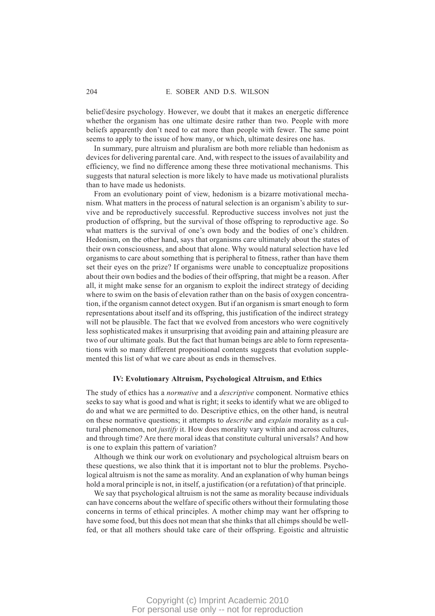belief/desire psychology. However, we doubt that it makes an energetic difference whether the organism has one ultimate desire rather than two. People with more beliefs apparently don't need to eat more than people with fewer. The same point seems to apply to the issue of how many, or which, ultimate desires one has.

In summary, pure altruism and pluralism are both more reliable than hedonism as devices for delivering parental care. And, with respect to the issues of availability and efficiency, we find no difference among these three motivational mechanisms. This suggests that natural selection is more likely to have made us motivational pluralists than to have made us hedonists.

From an evolutionary point of view, hedonism is a bizarre motivational mechanism. What matters in the process of natural selection is an organism's ability to survive and be reproductively successful. Reproductive success involves not just the production of offspring, but the survival of those offspring to reproductive age. So what matters is the survival of one's own body and the bodies of one's children. Hedonism, on the other hand, says that organisms care ultimately about the states of their own consciousness, and about that alone. Why would natural selection have led organisms to care about something that is peripheral to fitness, rather than have them set their eyes on the prize? If organisms were unable to conceptualize propositions about their own bodies and the bodies of their offspring, that might be a reason. After all, it might make sense for an organism to exploit the indirect strategy of deciding where to swim on the basis of elevation rather than on the basis of oxygen concentration, if the organism cannot detect oxygen. But if an organism is smart enough to form representations about itself and its offspring, this justification of the indirect strategy will not be plausible. The fact that we evolved from ancestors who were cognitively less sophisticated makes it unsurprising that avoiding pain and attaining pleasure are two of our ultimate goals. But the fact that human beings are able to form representations with so many different propositional contents suggests that evolution supplemented this list of what we care about as ends in themselves.

#### **IV: Evolutionary Altruism, Psychological Altruism, and Ethics**

The study of ethics has a *normative* and a *descriptive* component. Normative ethics seeks to say what is good and what is right; it seeks to identify what we are obliged to do and what we are permitted to do. Descriptive ethics, on the other hand, is neutral on these normative questions; it attempts to *describe* and *explain* morality as a cultural phenomenon, not *justify* it. How does morality vary within and across cultures, and through time? Are there moral ideas that constitute cultural universals? And how is one to explain this pattern of variation?

Although we think our work on evolutionary and psychological altruism bears on these questions, we also think that it is important not to blur the problems. Psychological altruism is not the same as morality. And an explanation of why human beings hold a moral principle is not, in itself, a justification (or a refutation) of that principle.

We say that psychological altruism is not the same as morality because individuals can have concerns about the welfare of specific others without their formulating those concerns in terms of ethical principles. A mother chimp may want her offspring to have some food, but this does not mean that she thinks that all chimps should be wellfed, or that all mothers should take care of their offspring. Egoistic and altruistic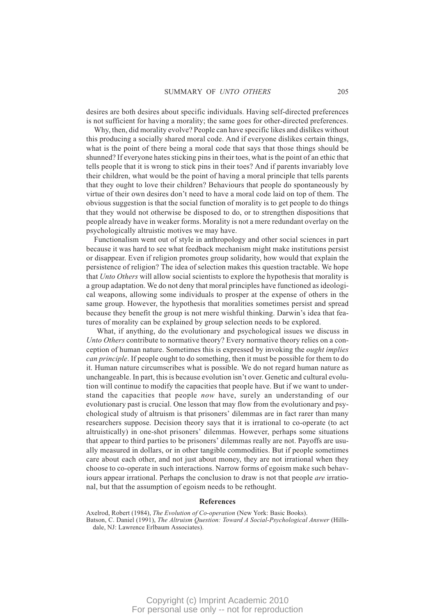desires are both desires about specific individuals. Having self-directed preferences is not sufficient for having a morality; the same goes for other-directed preferences.

Why, then, did morality evolve? People can have specific likes and dislikes without this producing a socially shared moral code. And if everyone dislikes certain things, what is the point of there being a moral code that says that those things should be shunned? If everyone hates sticking pins in their toes, what is the point of an ethic that tells people that it is wrong to stick pins in their toes? And if parents invariably love their children, what would be the point of having a moral principle that tells parents that they ought to love their children? Behaviours that people do spontaneously by virtue of their own desires don't need to have a moral code laid on top of them. The obvious suggestion is that the social function of morality is to get people to do things that they would not otherwise be disposed to do, or to strengthen dispositions that people already have in weaker forms. Morality is not a mere redundant overlay on the psychologically altruistic motives we may have.

Functionalism went out of style in anthropology and other social sciences in part because it was hard to see what feedback mechanism might make institutions persist or disappear. Even if religion promotes group solidarity, how would that explain the persistence of religion? The idea of selection makes this question tractable. We hope that *Unto Others* will allow social scientists to explore the hypothesis that morality is a group adaptation. We do not deny that moral principles have functioned as ideological weapons, allowing some individuals to prosper at the expense of others in the same group. However, the hypothesis that moralities sometimes persist and spread because they benefit the group is not mere wishful thinking. Darwin's idea that features of morality can be explained by group selection needs to be explored.

What, if anything, do the evolutionary and psychological issues we discuss in *Unto Others* contribute to normative theory? Every normative theory relies on a conception of human nature. Sometimes this is expressed by invoking the *ought implies can principle*. If people ought to do something, then it must be possible for them to do it. Human nature circumscribes what is possible. We do not regard human nature as unchangeable. In part, this is because evolution isn't over. Genetic and cultural evolution will continue to modify the capacities that people have. But if we want to understand the capacities that people *now* have, surely an understanding of our evolutionary past is crucial. One lesson that may flow from the evolutionary and psychological study of altruism is that prisoners' dilemmas are in fact rarer than many researchers suppose. Decision theory says that it is irrational to co-operate (to act altruistically) in one-shot prisoners' dilemmas. However, perhaps some situations that appear to third parties to be prisoners' dilemmas really are not. Payoffs are usually measured in dollars, or in other tangible commodities. But if people sometimes care about each other, and not just about money, they are not irrational when they choose to co-operate in such interactions. Narrow forms of egoism make such behaviours appear irrational. Perhaps the conclusion to draw is not that people *are* irrational, but that the assumption of egoism needs to be rethought.

#### **References**

Axelrod, Robert (1984), *The Evolution of Co-operation* (New York: Basic Books). Batson, C. Daniel (1991), *The Altruism Question: Toward A Social-Psychological Answer* (Hillsdale, NJ: Lawrence Erlbaum Associates).